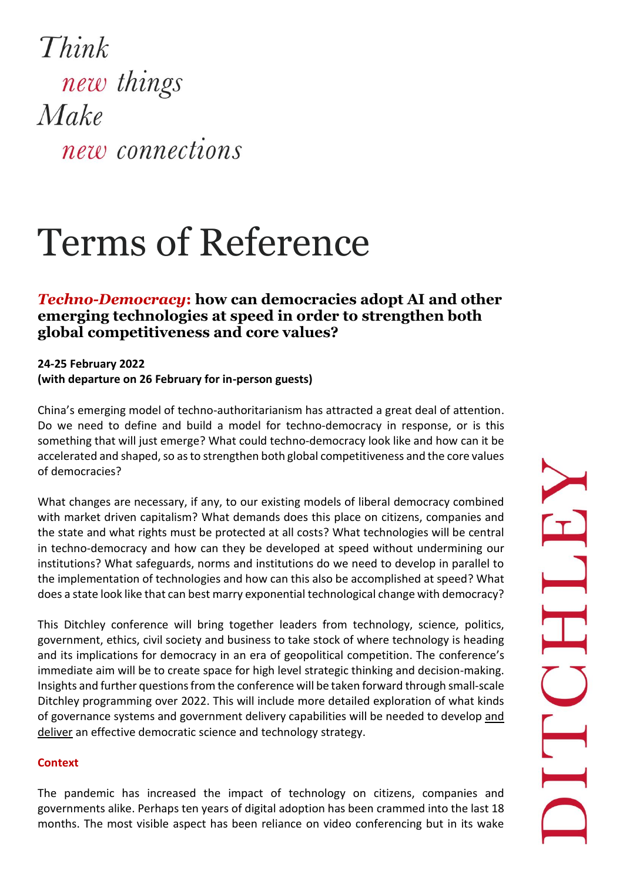Think new things Make new connections

## Terms of Reference

## *Techno-Democracy***: how can democracies adopt AI and other emerging technologies at speed in order to strengthen both global competitiveness and core values?**

## **24-25 February 2022 (with departure on 26 February for in-person guests)**

China's emerging model of techno-authoritarianism has attracted a great deal of attention. Do we need to define and build a model for techno-democracy in response, or is this something that will just emerge? What could techno-democracy look like and how can it be accelerated and shaped, so as to strengthen both global competitiveness and the core values of democracies?

What changes are necessary, if any, to our existing models of liberal democracy combined with market driven capitalism? What demands does this place on citizens, companies and the state and what rights must be protected at all costs? What technologies will be central in techno-democracy and how can they be developed at speed without undermining our institutions? What safeguards, norms and institutions do we need to develop in parallel to the implementation of technologies and how can this also be accomplished at speed? What does a state look like that can best marry exponential technological change with democracy?

This Ditchley conference will bring together leaders from technology, science, politics, government, ethics, civil society and business to take stock of where technology is heading and its implications for democracy in an era of geopolitical competition. The conference's immediate aim will be to create space for high level strategic thinking and decision-making. Insights and further questions from the conference will be taken forward through small-scale Ditchley programming over 2022. This will include more detailed exploration of what kinds of governance systems and government delivery capabilities will be needed to develop and deliver an effective democratic science and technology strategy.

## **Context**

The pandemic has increased the impact of technology on citizens, companies and governments alike. Perhaps ten years of digital adoption has been crammed into the last 18 months. The most visible aspect has been reliance on video conferencing but in its wake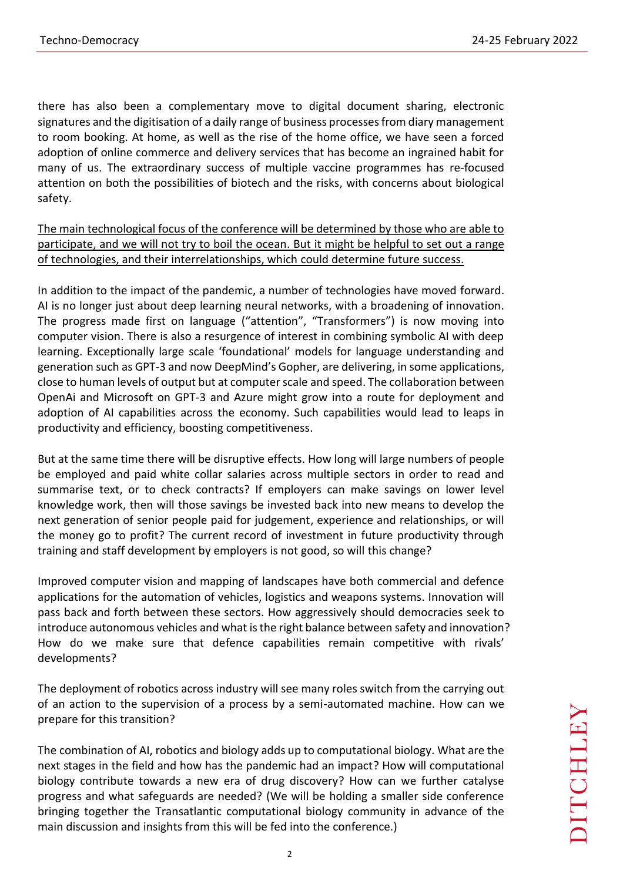there has also been a complementary move to digital document sharing, electronic signatures and the digitisation of a daily range of business processes from diary management to room booking. At home, as well as the rise of the home office, we have seen a forced adoption of online commerce and delivery services that has become an ingrained habit for many of us. The extraordinary success of multiple vaccine programmes has re-focused attention on both the possibilities of biotech and the risks, with concerns about biological safety.

The main technological focus of the conference will be determined by those who are able to participate, and we will not try to boil the ocean. But it might be helpful to set out a range of technologies, and their interrelationships, which could determine future success.

In addition to the impact of the pandemic, a number of technologies have moved forward. AI is no longer just about deep learning neural networks, with a broadening of innovation. The progress made first on language ("attention", "Transformers") is now moving into computer vision. There is also a resurgence of interest in combining symbolic AI with deep learning. Exceptionally large scale 'foundational' models for language understanding and generation such as GPT-3 and now DeepMind's Gopher, are delivering, in some applications, close to human levels of output but at computer scale and speed. The collaboration between OpenAi and Microsoft on GPT-3 and Azure might grow into a route for deployment and adoption of AI capabilities across the economy. Such capabilities would lead to leaps in productivity and efficiency, boosting competitiveness.

But at the same time there will be disruptive effects. How long will large numbers of people be employed and paid white collar salaries across multiple sectors in order to read and summarise text, or to check contracts? If employers can make savings on lower level knowledge work, then will those savings be invested back into new means to develop the next generation of senior people paid for judgement, experience and relationships, or will the money go to profit? The current record of investment in future productivity through training and staff development by employers is not good, so will this change?

Improved computer vision and mapping of landscapes have both commercial and defence applications for the automation of vehicles, logistics and weapons systems. Innovation will pass back and forth between these sectors. How aggressively should democracies seek to introduce autonomous vehicles and what is the right balance between safety and innovation? How do we make sure that defence capabilities remain competitive with rivals' developments?

The deployment of robotics across industry will see many roles switch from the carrying out of an action to the supervision of a process by a semi-automated machine. How can we prepare for this transition?

The combination of AI, robotics and biology adds up to computational biology. What are the next stages in the field and how has the pandemic had an impact? How will computational biology contribute towards a new era of drug discovery? How can we further catalyse progress and what safeguards are needed? (We will be holding a smaller side conference bringing together the Transatlantic computational biology community in advance of the main discussion and insights from this will be fed into the conference.)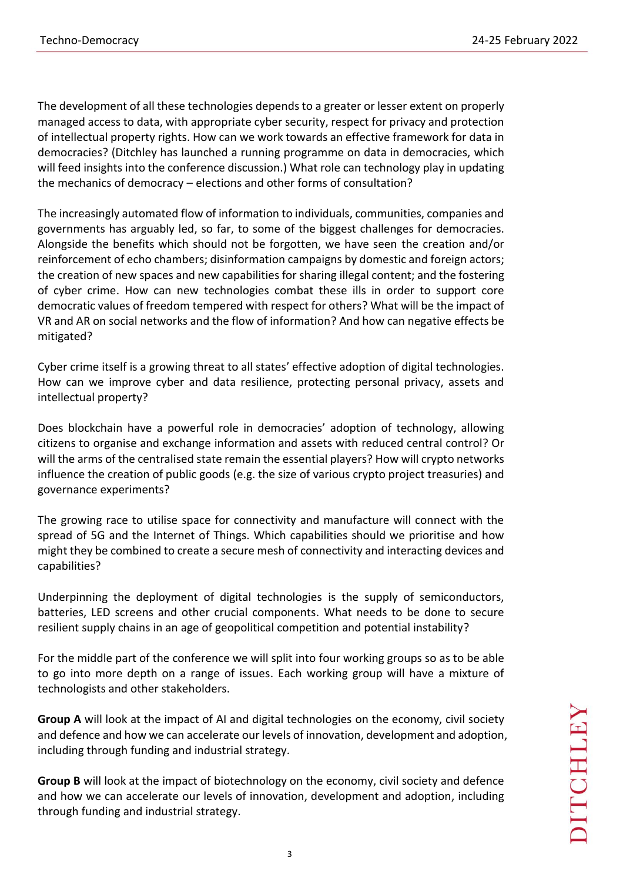The development of all these technologies depends to a greater or lesser extent on properly managed access to data, with appropriate cyber security, respect for privacy and protection of intellectual property rights. How can we work towards an effective framework for data in democracies? (Ditchley has launched a running programme on data in democracies, which will feed insights into the conference discussion.) What role can technology play in updating the mechanics of democracy – elections and other forms of consultation?

The increasingly automated flow of information to individuals, communities, companies and governments has arguably led, so far, to some of the biggest challenges for democracies. Alongside the benefits which should not be forgotten, we have seen the creation and/or reinforcement of echo chambers; disinformation campaigns by domestic and foreign actors; the creation of new spaces and new capabilities for sharing illegal content; and the fostering of cyber crime. How can new technologies combat these ills in order to support core democratic values of freedom tempered with respect for others? What will be the impact of VR and AR on social networks and the flow of information? And how can negative effects be mitigated?

Cyber crime itself is a growing threat to all states' effective adoption of digital technologies. How can we improve cyber and data resilience, protecting personal privacy, assets and intellectual property?

Does blockchain have a powerful role in democracies' adoption of technology, allowing citizens to organise and exchange information and assets with reduced central control? Or will the arms of the centralised state remain the essential players? How will crypto networks influence the creation of public goods (e.g. the size of various crypto project treasuries) and governance experiments?

The growing race to utilise space for connectivity and manufacture will connect with the spread of 5G and the Internet of Things. Which capabilities should we prioritise and how might they be combined to create a secure mesh of connectivity and interacting devices and capabilities?

Underpinning the deployment of digital technologies is the supply of semiconductors, batteries, LED screens and other crucial components. What needs to be done to secure resilient supply chains in an age of geopolitical competition and potential instability?

For the middle part of the conference we will split into four working groups so as to be able to go into more depth on a range of issues. Each working group will have a mixture of technologists and other stakeholders.

**Group A** will look at the impact of AI and digital technologies on the economy, civil society and defence and how we can accelerate our levels of innovation, development and adoption, including through funding and industrial strategy.

**Group B** will look at the impact of biotechnology on the economy, civil society and defence and how we can accelerate our levels of innovation, development and adoption, including through funding and industrial strategy.